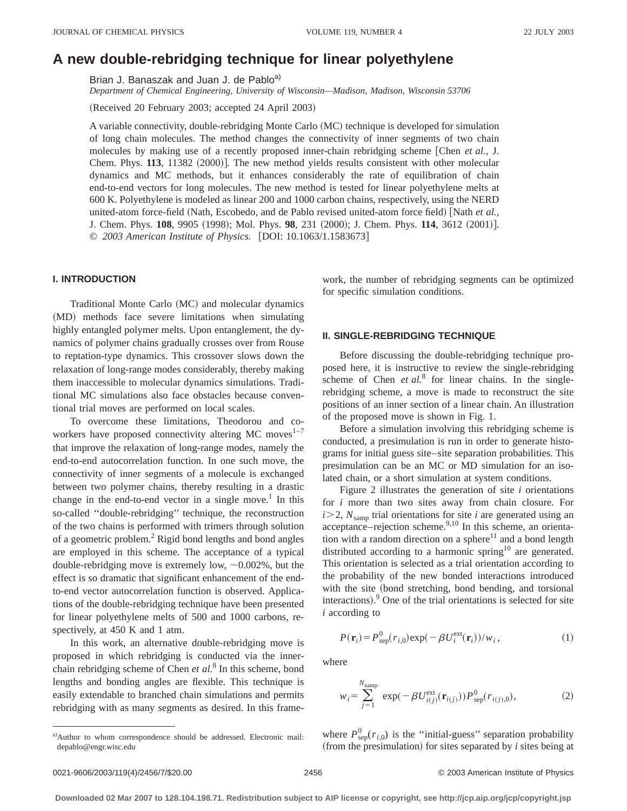# **A new double-rebridging technique for linear polyethylene**

Brian J. Banaszak and Juan J. de Pablo<sup>a)</sup>

*Department of Chemical Engineering, University of Wisconsin—Madison, Madison, Wisconsin 53706*

(Received 20 February 2003; accepted 24 April 2003)

A variable connectivity, double-rebridging Monte Carlo (MC) technique is developed for simulation of long chain molecules. The method changes the connectivity of inner segments of two chain molecules by making use of a recently proposed inner-chain rebridging scheme [Chen *et al.*, J. Chem. Phys. **113**, 11382 (2000)]. The new method yields results consistent with other molecular dynamics and MC methods, but it enhances considerably the rate of equilibration of chain end-to-end vectors for long molecules. The new method is tested for linear polyethylene melts at 600 K. Polyethylene is modeled as linear 200 and 1000 carbon chains, respectively, using the NERD united-atom force-field (Nath, Escobedo, and de Pablo revised united-atom force field) [Nath *et al.*, J. Chem. Phys. 108, 9905 (1998); Mol. Phys. 98, 231 (2000); J. Chem. Phys. 114, 3612 (2001)]. © 2003 American Institute of Physics. [DOI: 10.1063/1.1583673]

## **I. INTRODUCTION**

Traditional Monte Carlo (MC) and molecular dynamics (MD) methods face severe limitations when simulating highly entangled polymer melts. Upon entanglement, the dynamics of polymer chains gradually crosses over from Rouse to reptation-type dynamics. This crossover slows down the relaxation of long-range modes considerably, thereby making them inaccessible to molecular dynamics simulations. Traditional MC simulations also face obstacles because conventional trial moves are performed on local scales.

To overcome these limitations, Theodorou and coworkers have proposed connectivity altering MC moves $1-7$ that improve the relaxation of long-range modes, namely the end-to-end autocorrelation function. In one such move, the connectivity of inner segments of a molecule is exchanged between two polymer chains, thereby resulting in a drastic change in the end-to-end vector in a single move.<sup>1</sup> In this so-called ''double-rebridging'' technique, the reconstruction of the two chains is performed with trimers through solution of a geometric problem.<sup>2</sup> Rigid bond lengths and bond angles are employed in this scheme. The acceptance of a typical double-rebridging move is extremely low,  $\sim 0.002\%$ , but the effect is so dramatic that significant enhancement of the endto-end vector autocorrelation function is observed. Applications of the double-rebridging technique have been presented for linear polyethylene melts of 500 and 1000 carbons, respectively, at 450 K and 1 atm.

In this work, an alternative double-rebridging move is proposed in which rebridging is conducted via the innerchain rebridging scheme of Chen *et al.*<sup>8</sup> In this scheme, bond lengths and bonding angles are flexible. This technique is easily extendable to branched chain simulations and permits rebridging with as many segments as desired. In this framework, the number of rebridging segments can be optimized for specific simulation conditions.

## **II. SINGLE-REBRIDGING TECHNIQUE**

Before discussing the double-rebridging technique proposed here, it is instructive to review the single-rebridging scheme of Chen *et al.*<sup>8</sup> for linear chains. In the singlerebridging scheme, a move is made to reconstruct the site positions of an inner section of a linear chain. An illustration of the proposed move is shown in Fig. 1.

Before a simulation involving this rebridging scheme is conducted, a presimulation is run in order to generate histograms for initial guess site–site separation probabilities. This presimulation can be an MC or MD simulation for an isolated chain, or a short simulation at system conditions.

Figure 2 illustrates the generation of site *i* orientations for *i* more than two sites away from chain closure. For  $i > 2$ ,  $N_{\text{ samp}}$  trial orientations for site *i* are generated using an  $\alpha$ cceptance–rejection scheme.<sup>9,10</sup> In this scheme, an orientation with a random direction on a sphere<sup>11</sup> and a bond length distributed according to a harmonic spring<sup>10</sup> are generated. This orientation is selected as a trial orientation according to the probability of the new bonded interactions introduced with the site (bond stretching, bond bending, and torsional interactions). $9$  One of the trial orientations is selected for site *i* according to

$$
P(\mathbf{r}_i) = P_{\text{sep}}^0(r_{i,0}) \exp(-\beta U_i^{\text{ext}}(\mathbf{r}_i))/w_i, \qquad (1)
$$

where

$$
w_i = \sum_{j=1}^{N_{\text{ samp}}} \exp(-\beta U_{i(j)}^{\text{ext}}(\mathbf{r}_{i(j)})) P_{\text{sep}}^0(r_{i(j),0}), \tag{2}
$$

where  $P_{\text{sep}}^0(r_{i,0})$  is the "initial-guess" separation probability  $(r_{\text{from the presimulation}})$  for sites separated by *i* sites being at

a)Author to whom correspondence should be addressed. Electronic mail: depablo@engr.wisc.edu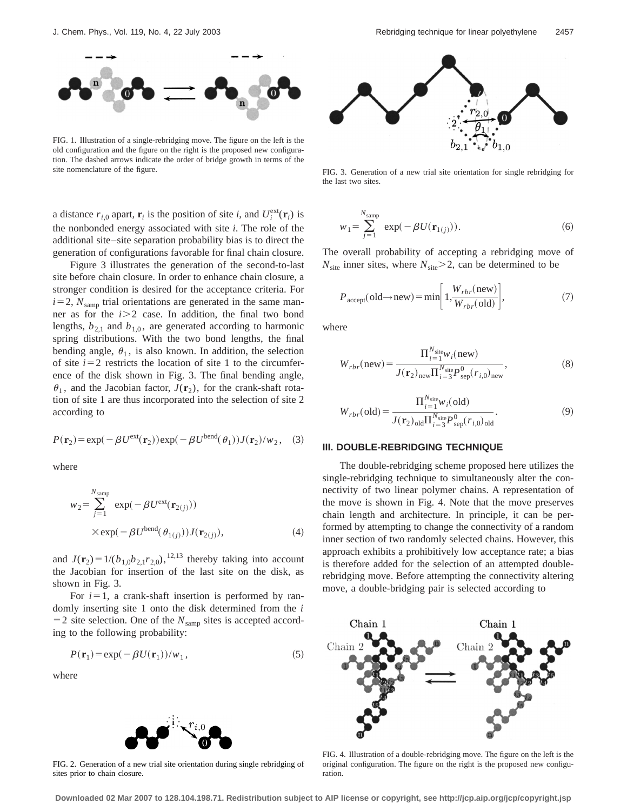

FIG. 1. Illustration of a single-rebridging move. The figure on the left is the old configuration and the figure on the right is the proposed new configuration. The dashed arrows indicate the order of bridge growth in terms of the site nomenclature of the figure.

a distance  $r_{i,0}$  apart,  $\mathbf{r}_i$  is the position of site *i*, and  $U_i^{\text{ext}}(\mathbf{r}_i)$  is the nonbonded energy associated with site *i*. The role of the additional site–site separation probability bias is to direct the generation of configurations favorable for final chain closure.

Figure 3 illustrates the generation of the second-to-last site before chain closure. In order to enhance chain closure, a stronger condition is desired for the acceptance criteria. For  $i=2$ ,  $N_{\text{sum}}$  trial orientations are generated in the same manner as for the  $i>2$  case. In addition, the final two bond lengths,  $b_{2,1}$  and  $b_{1,0}$ , are generated according to harmonic spring distributions. With the two bond lengths, the final bending angle,  $\theta_1$ , is also known. In addition, the selection of site  $i=2$  restricts the location of site 1 to the circumference of the disk shown in Fig. 3. The final bending angle,  $\theta_1$ , and the Jacobian factor,  $J(\mathbf{r}_2)$ , for the crank-shaft rotation of site 1 are thus incorporated into the selection of site 2 according to

$$
P(\mathbf{r}_2) = \exp(-\beta U^{\text{ext}}(\mathbf{r}_2))\exp(-\beta U^{\text{bend}}(\theta_1))J(\mathbf{r}_2)/w_2, \quad (3)
$$

where

$$
w_2 = \sum_{j=1}^{N_{\text{ samp}}} \exp(-\beta U^{\text{ext}}(\mathbf{r}_{2(j)}))
$$
  
× $\exp(-\beta U^{\text{bend}}(\theta_{1(j)}))J(\mathbf{r}_{2(j)}),$  (4)

and  $J(\mathbf{r}_2) = 1/(b_{1,0}b_{2,1}r_{2,0}),$ <sup>12,13</sup> thereby taking into account the Jacobian for insertion of the last site on the disk, as shown in Fig. 3.

For  $i=1$ , a crank-shaft insertion is performed by randomly inserting site 1 onto the disk determined from the *i*  $=$  2 site selection. One of the  $N_{\text{samp}}$  sites is accepted according to the following probability:

$$
P(\mathbf{r}_1) = \exp(-\beta U(\mathbf{r}_1))/w_1,\tag{5}
$$

where



FIG. 2. Generation of a new trial site orientation during single rebridging of sites prior to chain closure.



FIG. 3. Generation of a new trial site orientation for single rebridging for the last two sites.

$$
w_1 = \sum_{j=1}^{N_{\text{ samp}}} \exp(-\beta U(\mathbf{r}_{1(j)})).
$$
 (6)

The overall probability of accepting a rebridging move of  $N_{\text{site}}$  inner sites, where  $N_{\text{site}} > 2$ , can be determined to be

$$
P_{\text{accept}}(\text{old} \to \text{new}) = \min\left[1, \frac{W_{rbr}(\text{new})}{W_{rbr}(\text{old})}\right],\tag{7}
$$

where

$$
W_{rbr}(\text{new}) = \frac{\Pi_{i=1}^{N_{\text{site}}} w_i(\text{new})}{J(\mathbf{r}_2)_{\text{new}} \Pi_{i=3}^{N_{\text{site}}} P_{\text{sep}}^0(r_{i,0})_{\text{new}}},\tag{8}
$$

$$
W_{rbr}(\text{old}) = \frac{\Pi_{i=1}^{N_{\text{site}}} w_i(\text{old})}{J(\mathbf{r}_2)_{\text{old}} \Pi_{i=3}^{N_{\text{site}}} P_{\text{sep}}^0(r_{i,0})_{\text{old}}}.
$$
(9)

#### **III. DOUBLE-REBRIDGING TECHNIQUE**

The double-rebridging scheme proposed here utilizes the single-rebridging technique to simultaneously alter the connectivity of two linear polymer chains. A representation of the move is shown in Fig. 4. Note that the move preserves chain length and architecture. In principle, it can be performed by attempting to change the connectivity of a random inner section of two randomly selected chains. However, this approach exhibits a prohibitively low acceptance rate; a bias is therefore added for the selection of an attempted doublerebridging move. Before attempting the connectivity altering move, a double-bridging pair is selected according to



FIG. 4. Illustration of a double-rebridging move. The figure on the left is the original configuration. The figure on the right is the proposed new configuration.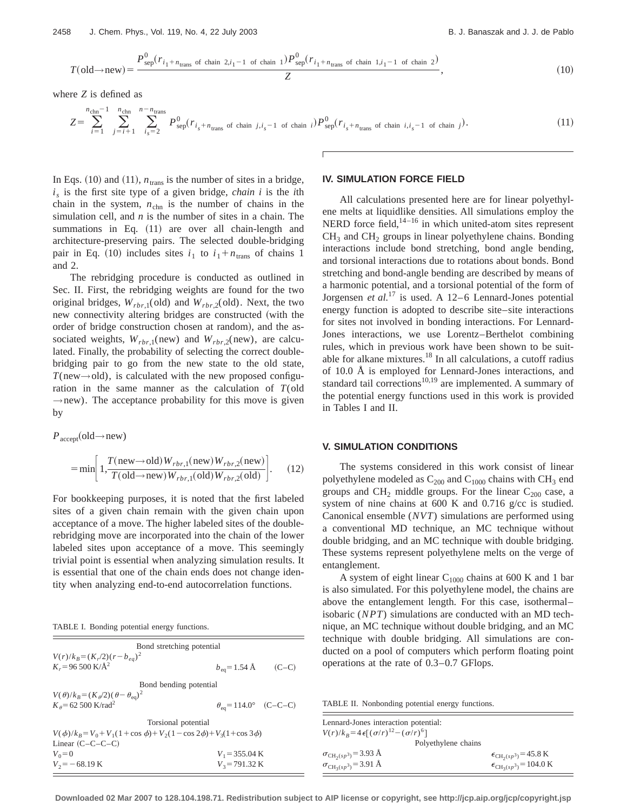$$
T(\text{old}\rightarrow\text{new}) = \frac{P_{\text{sep}}^0(r_{i_1} + n_{\text{trans of chain 2},i_1-1 \text{ of chain 1})P_{\text{sep}}^0(r_{i_1} + n_{\text{trans of chain 1},i_1-1 \text{ of chain 2})}}{Z},\tag{10}
$$

where *Z* is defined as

$$
Z = \sum_{i=1}^{n_{\text{chn}}-1} \sum_{j=i+1}^{n_{\text{chn}}} \sum_{i_s=2}^{n-n_{\text{trans}}} P_{\text{sep}}^0(r_{i_s+n_{\text{trans}}} \text{ of chain } j, i_s-1 \text{ of chain } i) P_{\text{sep}}^0(r_{i_s+n_{\text{trans}}} \text{ of chain } i, i_s-1 \text{ of chain } j). \tag{11}
$$

In Eqs.  $(10)$  and  $(11)$ ,  $n_{trans}$  is the number of sites in a bridge, *is* is the first site type of a given bridge, *chain i* is the *i*th chain in the system,  $n_{\text{chn}}$  is the number of chains in the simulation cell, and *n* is the number of sites in a chain. The summations in Eq.  $(11)$  are over all chain-length and architecture-preserving pairs. The selected double-bridging pair in Eq. (10) includes sites  $i_1$  to  $i_1 + n_{trans}$  of chains 1 and 2.

The rebridging procedure is conducted as outlined in Sec. II. First, the rebridging weights are found for the two original bridges,  $W_{rbr,1}$ (old) and  $W_{rbr,2}$ (old). Next, the two new connectivity altering bridges are constructed (with the order of bridge construction chosen at random), and the associated weights,  $W_{rbr,1}$ (new) and  $W_{rbr,2}$ (new), are calculated. Finally, the probability of selecting the correct doublebridging pair to go from the new state to the old state,  $T$ (new→old), is calculated with the new proposed configuration in the same manner as the calculation of *T*(old  $\rightarrow$ new). The acceptance probability for this move is given by

$$
P_{\text{accept}}(\text{old} \to \text{new})
$$
  
= min  $\left[ 1, \frac{T(\text{new} \to \text{old}) W_{rbr,1}(\text{new}) W_{rbr,2}(\text{new})}{T(\text{old} \to \text{new}) W_{rbr,1}(\text{old}) W_{rbr,2}(\text{old})} \right].$  (12)

For bookkeeping purposes, it is noted that the first labeled sites of a given chain remain with the given chain upon acceptance of a move. The higher labeled sites of the doublerebridging move are incorporated into the chain of the lower labeled sites upon acceptance of a move. This seemingly trivial point is essential when analyzing simulation results. It is essential that one of the chain ends does not change identity when analyzing end-to-end autocorrelation functions.

TABLE I. Bonding potential energy functions.

| Bond stretching potential                                                            |                                       |  |  |  |  |
|--------------------------------------------------------------------------------------|---------------------------------------|--|--|--|--|
| $V(r)/k_B = (K_r/2)(r - b_{ea})^2$                                                   |                                       |  |  |  |  |
| $K_r = 96500 \text{ K/A}^2$                                                          | $b_{eq} = 1.54 \text{ Å}$ (C-C)       |  |  |  |  |
| Bond bending potential                                                               |                                       |  |  |  |  |
| $V(\theta)/k_B = (K_{\theta}/2)(\theta - \theta_{eq})^2$                             |                                       |  |  |  |  |
| $K_{\theta}$ = 62 500 K/rad <sup>2</sup>                                             | $\theta_{eq} = 114.0^{\circ}$ (C-C-C) |  |  |  |  |
| Torsional potential                                                                  |                                       |  |  |  |  |
| $V(\phi)/k_B = V_0 + V_1(1 + \cos \phi) + V_2(1 - \cos 2\phi) + V_3(1 + \cos 3\phi)$ |                                       |  |  |  |  |
| Linear $(C-C-C-C)$                                                                   |                                       |  |  |  |  |
| $V_0 = 0$                                                                            | $V_1 = 355.04 \text{ K}$              |  |  |  |  |
| $V_2 = -68.19 \text{ K}$                                                             | $V_3$ = 791.32 K                      |  |  |  |  |

#### **IV. SIMULATION FORCE FIELD**

All calculations presented here are for linear polyethylene melts at liquidlike densities. All simulations employ the NERD force field,  $14-16$  in which united-atom sites represent  $CH<sub>3</sub>$  and  $CH<sub>2</sub>$  groups in linear polyethylene chains. Bonding interactions include bond stretching, bond angle bending, and torsional interactions due to rotations about bonds. Bond stretching and bond-angle bending are described by means of a harmonic potential, and a torsional potential of the form of Jorgensen *et al.*<sup>17</sup> is used. A 12–6 Lennard-Jones potential energy function is adopted to describe site–site interactions for sites not involved in bonding interactions. For Lennard-Jones interactions, we use Lorentz–Berthelot combining rules, which in previous work have been shown to be suitable for alkane mixtures.18 In all calculations, a cutoff radius of 10.0 Å is employed for Lennard-Jones interactions, and standard tail corrections $10,19$  are implemented. A summary of the potential energy functions used in this work is provided in Tables I and II.

#### **V. SIMULATION CONDITIONS**

The systems considered in this work consist of linear polyethylene modeled as  $C_{200}$  and  $C_{1000}$  chains with CH<sub>3</sub> end groups and  $CH_2$  middle groups. For the linear  $C_{200}$  case, a system of nine chains at 600 K and 0.716 g/cc is studied. Canonical ensemble (*NVT*) simulations are performed using a conventional MD technique, an MC technique without double bridging, and an MC technique with double bridging. These systems represent polyethylene melts on the verge of entanglement.

A system of eight linear  $C_{1000}$  chains at 600 K and 1 bar is also simulated. For this polyethylene model, the chains are above the entanglement length. For this case, isothermal– isobaric (*NPT*) simulations are conducted with an MD technique, an MC technique without double bridging, and an MC technique with double bridging. All simulations are conducted on a pool of computers which perform floating point operations at the rate of 0.3–0.7 GFlops.

TABLE II. Nonbonding potential energy functions.

| Lennard-Jones interaction potential:                   |                                                  |  |  |  |
|--------------------------------------------------------|--------------------------------------------------|--|--|--|
| $V(r)/k_p = 4\epsilon[(\sigma/r)^{12} - (\sigma/r)^6]$ |                                                  |  |  |  |
| Polyethylene chains                                    |                                                  |  |  |  |
| $\sigma_{\text{CH}_2(sp^3)} = 3.93 \text{ Å}$          | $\epsilon_{\text{CH}_2(sp^3)} = 45.8 \text{ K}$  |  |  |  |
| $\sigma_{\text{CH}_3(sp^3)} = 3.91 \text{ Å}$          | $\epsilon_{\text{CH}_3(sp^3)} = 104.0 \text{ K}$ |  |  |  |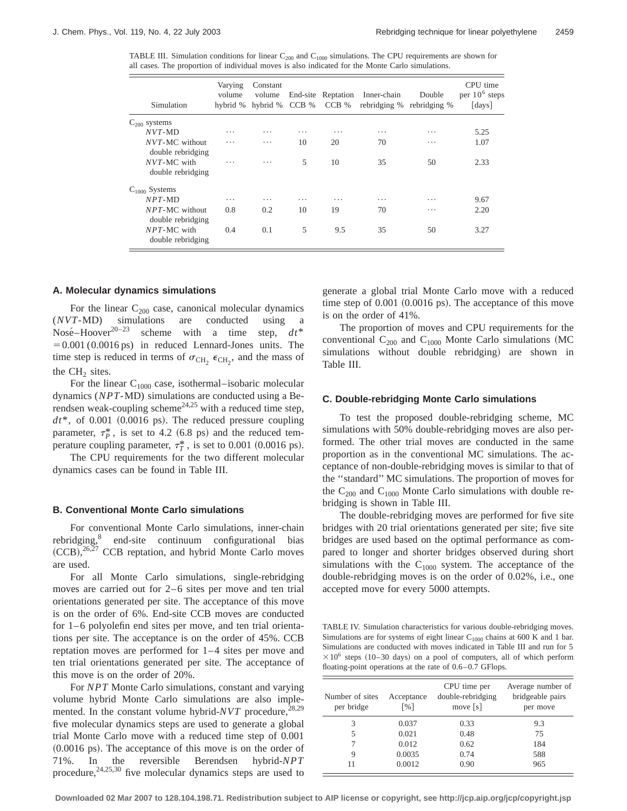TABLE III. Simulation conditions for linear  $C_{200}$  and  $C_{1000}$  simulations. The CPU requirements are shown for all cases. The proportion of individual moves is also indicated for the Monte Carlo simulations.

| Simulation                             | Varying<br>volume | Constant<br>volume<br>hybrid % hybrid % | CCB %    | End-site Reptation<br>CCB % | Inner-chain<br>rebridging % | Double<br>rebridging % | CPU time<br>per $10^6$ steps<br>[days] |
|----------------------------------------|-------------------|-----------------------------------------|----------|-----------------------------|-----------------------------|------------------------|----------------------------------------|
| $C_{200}$ systems                      |                   |                                         |          |                             |                             |                        |                                        |
| $NVT-MD$                               | $\cdots$          | .                                       | $\cdots$ | .                           | .                           | .                      | 5.25                                   |
| $NVT$ -MC without<br>double rebridging | .                 | .                                       | 10       | 20                          | 70                          | .                      | 1.07                                   |
| $NVT$ -MC with<br>double rebridging    | .                 | .                                       | 5        | 10                          | 35                          | 50                     | 2.33                                   |
| $C_{1000}$ Systems                     |                   |                                         |          |                             |                             |                        |                                        |
| $NPT$ -MD                              | .                 | .                                       | .        | .                           | .                           | .                      | 9.67                                   |
| $NPT$ -MC without<br>double rebridging | 0.8               | 0.2                                     | 10       | 19                          | 70                          | .                      | 2.20                                   |
| $NPT$ -MC with<br>double rebridging    | 0.4               | 0.1                                     | 5        | 9.5                         | 35                          | 50                     | 3.27                                   |

#### **A. Molecular dynamics simulations**

For the linear  $C_{200}$  case, canonical molecular dynamics  $(NVT-MD)$  simulations are conducted using<br>Nosé–Hoover<sup>20–23</sup> scheme with a time step. scheme with a time step,  $dt^*$  $=0.001 (0.0016 \text{ ps})$  in reduced Lennard-Jones units. The time step is reduced in terms of  $\sigma_{\text{CH}_2}$ ,  $\epsilon_{\text{CH}_2}$ , and the mass of the  $CH<sub>2</sub>$  sites.

For the linear  $C_{1000}$  case, isothermal–isobaric molecular dynamics (*NPT*-MD) simulations are conducted using a Berendsen weak-coupling scheme<sup>24,25</sup> with a reduced time step,  $dt^*$ , of 0.001 (0.0016 ps). The reduced pressure coupling parameter,  $\tau_P^*$ , is set to 4.2 (6.8 ps) and the reduced temperature coupling parameter,  $\tau_T^*$ , is set to 0.001 (0.0016 ps).

The CPU requirements for the two different molecular dynamics cases can be found in Table III.

#### **B. Conventional Monte Carlo simulations**

For conventional Monte Carlo simulations, inner-chain rebridging,<sup>8</sup> end-site continuum configurational bias  $(CCB),<sup>26,27</sup> CCB$  reptation, and hybrid Monte Carlo moves are used.

For all Monte Carlo simulations, single-rebridging moves are carried out for 2–6 sites per move and ten trial orientations generated per site. The acceptance of this move is on the order of 6%. End-site CCB moves are conducted for 1–6 polyolefin end sites per move, and ten trial orientations per site. The acceptance is on the order of 45%. CCB reptation moves are performed for 1–4 sites per move and ten trial orientations generated per site. The acceptance of this move is on the order of 20%.

For *NPT* Monte Carlo simulations, constant and varying volume hybrid Monte Carlo simulations are also implemented. In the constant volume hybrid- $NVT$  procedure,<sup>28,29</sup> five molecular dynamics steps are used to generate a global trial Monte Carlo move with a reduced time step of 0.001  $(0.0016 \text{ ps})$ . The acceptance of this move is on the order of 71%. In the reversible Berendsen hybrid-*NPT* procedure,  $24,25,30$  five molecular dynamics steps are used to generate a global trial Monte Carlo move with a reduced time step of  $0.001~(0.0016~\text{ps})$ . The acceptance of this move is on the order of 41%.

The proportion of moves and CPU requirements for the conventional  $C_{200}$  and  $C_{1000}$  Monte Carlo simulations (MC simulations without double rebridging) are shown in Table III.

### **C. Double-rebridging Monte Carlo simulations**

To test the proposed double-rebridging scheme, MC simulations with 50% double-rebridging moves are also performed. The other trial moves are conducted in the same proportion as in the conventional MC simulations. The acceptance of non-double-rebridging moves is similar to that of the ''standard'' MC simulations. The proportion of moves for the  $C_{200}$  and  $C_{1000}$  Monte Carlo simulations with double rebridging is shown in Table III.

The double-rebridging moves are performed for five site bridges with 20 trial orientations generated per site; five site bridges are used based on the optimal performance as compared to longer and shorter bridges observed during short simulations with the  $C_{1000}$  system. The acceptance of the double-rebridging moves is on the order of 0.02%, i.e., one accepted move for every 5000 attempts.

TABLE IV. Simulation characteristics for various double-rebridging moves. Simulations are for systems of eight linear  $C_{1000}$  chains at 600 K and 1 bar. Simulations are conducted with moves indicated in Table III and run for 5  $\times$ 10<sup>6</sup> steps (10–30 days) on a pool of computers, all of which perform floating-point operations at the rate of 0.6–0.7 GFlops.

| Number of sites<br>per bridge | Acceptance<br>$\lceil \frac{9}{0} \rceil$ | CPU time per<br>double-rebridging<br>move $[s]$ | Average number of<br>bridgeable pairs<br>per move |
|-------------------------------|-------------------------------------------|-------------------------------------------------|---------------------------------------------------|
| 3                             | 0.037                                     | 0.33                                            | 9.3                                               |
|                               | 0.021                                     | 0.48                                            | 75                                                |
|                               | 0.012                                     | 0.62                                            | 184                                               |
| 9                             | 0.0035                                    | 0.74                                            | 588                                               |
| 11                            | 0.0012                                    | 0.90                                            | 965                                               |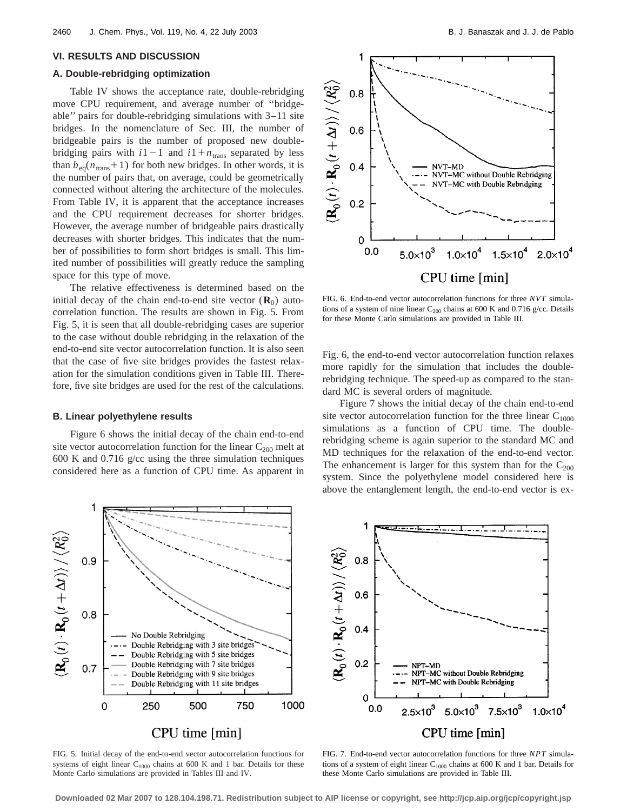# **VI. RESULTS AND DISCUSSION**

## **A. Double-rebridging optimization**

Table IV shows the acceptance rate, double-rebridging move CPU requirement, and average number of ''bridgeable'' pairs for double-rebridging simulations with 3–11 site bridges. In the nomenclature of Sec. III, the number of bridgeable pairs is the number of proposed new doublebridging pairs with  $i1-1$  and  $i1+n$ <sub>trans</sub> separated by less than  $b_{eq}(n_{trans}+1)$  for both new bridges. In other words, it is the number of pairs that, on average, could be geometrically connected without altering the architecture of the molecules. From Table IV, it is apparent that the acceptance increases and the CPU requirement decreases for shorter bridges. However, the average number of bridgeable pairs drastically decreases with shorter bridges. This indicates that the number of possibilities to form short bridges is small. This limited number of possibilities will greatly reduce the sampling space for this type of move.

The relative effectiveness is determined based on the initial decay of the chain end-to-end site vector  $(\mathbf{R}_0)$  autocorrelation function. The results are shown in Fig. 5. From Fig. 5, it is seen that all double-rebridging cases are superior to the case without double rebridging in the relaxation of the end-to-end site vector autocorrelation function. It is also seen that the case of five site bridges provides the fastest relaxation for the simulation conditions given in Table III. Therefore, five site bridges are used for the rest of the calculations.

### **B. Linear polyethylene results**

Figure 6 shows the initial decay of the chain end-to-end site vector autocorrelation function for the linear  $C_{200}$  melt at 600 K and 0.716 g/cc using the three simulation techniques considered here as a function of CPU time. As apparent in



FIG. 6. End-to-end vector autocorrelation functions for three *NVT* simulations of a system of nine linear  $C_{200}$  chains at 600 K and 0.716 g/cc. Details for these Monte Carlo simulations are provided in Table III.

Fig. 6, the end-to-end vector autocorrelation function relaxes more rapidly for the simulation that includes the doublerebridging technique. The speed-up as compared to the standard MC is several orders of magnitude.

Figure 7 shows the initial decay of the chain end-to-end site vector autocorrelation function for the three linear  $C_{1000}$ simulations as a function of CPU time. The doublerebridging scheme is again superior to the standard MC and MD techniques for the relaxation of the end-to-end vector. The enhancement is larger for this system than for the  $C_{200}$ system. Since the polyethylene model considered here is above the entanglement length, the end-to-end vector is ex-



FIG. 5. Initial decay of the end-to-end vector autocorrelation functions for systems of eight linear  $C_{1000}$  chains at 600 K and 1 bar. Details for these Monte Carlo simulations are provided in Tables III and IV.

FIG. 7. End-to-end vector autocorrelation functions for three *NPT* simulations of a system of eight linear  $C_{1000}$  chains at 600 K and 1 bar. Details for these Monte Carlo simulations are provided in Table III.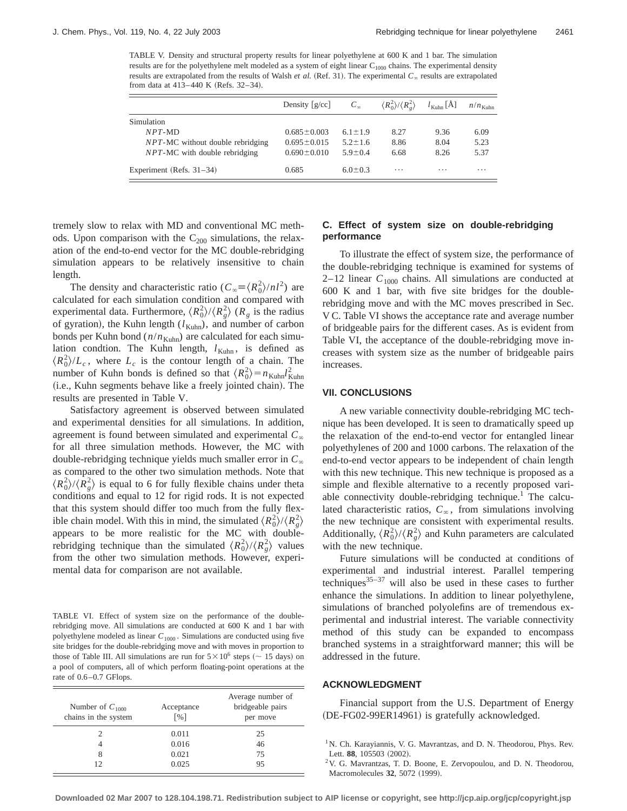TABLE V. Density and structural property results for linear polyethylene at 600 K and 1 bar. The simulation results are for the polyethylene melt modeled as a system of eight linear  $C_{1000}$  chains. The experimental density results are extrapolated from the results of Walsh *et al.* (Ref. 31). The experimental  $C_{\infty}$  results are extrapolated from data at 413–440 K (Refs. 32–34).

|                                     | Density $\lceil g/cc \rceil$ | $C_{\infty}$  | $\langle R_0^2\rangle/\langle R_\circ^2\rangle$ | $l_{\text{Kuhn}}[\text{\AA}]$ | $n/n_{\text{Kuhn}}$ |
|-------------------------------------|------------------------------|---------------|-------------------------------------------------|-------------------------------|---------------------|
| Simulation                          |                              |               |                                                 |                               |                     |
| $NPT$ -MD                           | $0.685 \pm 0.003$            | $6.1 \pm 1.9$ | 8.27                                            | 9.36                          | 6.09                |
| $NPT$ -MC without double rebridging | $0.695 \pm 0.015$            | $5.2 \pm 1.6$ | 8.86                                            | 8.04                          | 5.23                |
| $NPT$ -MC with double rebridging    | $0.690 \pm 0.010$            | $5.9 \pm 0.4$ | 6.68                                            | 8.26                          | 5.37                |
| Experiment (Refs. $31-34$ )         | 0.685                        | $6.0 \pm 0.3$ | $\cdots$                                        | $\cdots$                      | .                   |

tremely slow to relax with MD and conventional MC methods. Upon comparison with the  $C_{200}$  simulations, the relaxation of the end-to-end vector for the MC double-rebridging simulation appears to be relatively insensitive to chain length.

The density and characteristic ratio ( $C_{\infty} = \langle R_0^2 \rangle / n l^2$ ) are calculated for each simulation condition and compared with experimental data. Furthermore,  $\langle R_0^2 \rangle / \langle R_g^2 \rangle$  ( $R_g$  is the radius of gyration), the Kuhn length  $(l_{Kuhn})$ , and number of carbon bonds per Kuhn bond  $(n/n_{\text{Kuhn}})$  are calculated for each simulation condtion. The Kuhn length,  $l_{Kuhn}$ , is defined as  $\langle R_0^2 \rangle / L_c$ , where  $L_c$  is the contour length of a chain. The number of Kuhn bonds is defined so that  $\langle R_0^2 \rangle = n_{\text{Kuhn}} l_{\text{Kuhn}}^2$ (i.e., Kuhn segments behave like a freely jointed chain). The results are presented in Table V.

Satisfactory agreement is observed between simulated and experimental densities for all simulations. In addition, agreement is found between simulated and experimental  $C_{\infty}$ for all three simulation methods. However, the MC with double-rebridging technique yields much smaller error in *C*` as compared to the other two simulation methods. Note that  $\langle R_0^2 \rangle / \langle R_g^2 \rangle$  is equal to 6 for fully flexible chains under theta conditions and equal to 12 for rigid rods. It is not expected that this system should differ too much from the fully flexible chain model. With this in mind, the simulated  $\langle R_0^2 \rangle / \langle R_g^2 \rangle$ appears to be more realistic for the MC with doublerebridging technique than the simulated  $\langle R_0^2 \rangle / \langle R_g^2 \rangle$  values from the other two simulation methods. However, experimental data for comparison are not available.

TABLE VI. Effect of system size on the performance of the doublerebridging move. All simulations are conducted at 600 K and 1 bar with polyethylene modeled as linear  $C_{1000}$ . Simulations are conducted using five site bridges for the double-rebridging move and with moves in proportion to those of Table III. All simulations are run for  $5 \times 10^6$  steps ( $\sim 15$  days) on a pool of computers, all of which perform floating-point operations at the rate of 0.6–0.7 GFlops.

| Number of $C_{1000}$<br>chains in the system | Acceptance<br>$\lceil \frac{9}{0} \rceil$ | Average number of<br>bridgeable pairs<br>per move |
|----------------------------------------------|-------------------------------------------|---------------------------------------------------|
|                                              | 0.011                                     | 25                                                |
|                                              | 0.016                                     | 46                                                |
|                                              | 0.021                                     | 75                                                |
| 12                                           | 0.025                                     | 95                                                |

## **C. Effect of system size on double-rebridging performance**

To illustrate the effect of system size, the performance of the double-rebridging technique is examined for systems of  $2-12$  linear  $C_{1000}$  chains. All simulations are conducted at 600 K and 1 bar, with five site bridges for the doublerebridging move and with the MC moves prescribed in Sec. V C. Table VI shows the acceptance rate and average number of bridgeable pairs for the different cases. As is evident from Table VI, the acceptance of the double-rebridging move increases with system size as the number of bridgeable pairs increases.

# **VII. CONCLUSIONS**

A new variable connectivity double-rebridging MC technique has been developed. It is seen to dramatically speed up the relaxation of the end-to-end vector for entangled linear polyethylenes of 200 and 1000 carbons. The relaxation of the end-to-end vector appears to be independent of chain length with this new technique. This new technique is proposed as a simple and flexible alternative to a recently proposed variable connectivity double-rebridging technique.<sup>1</sup> The calculated characteristic ratios,  $C_{\infty}$ , from simulations involving the new technique are consistent with experimental results. Additionally,  $\langle R_0^2 \rangle / \langle R_g^2 \rangle$  and Kuhn parameters are calculated with the new technique.

Future simulations will be conducted at conditions of experimental and industrial interest. Parallel tempering techniques<sup>35–37</sup> will also be used in these cases to further enhance the simulations. In addition to linear polyethylene, simulations of branched polyolefins are of tremendous experimental and industrial interest. The variable connectivity method of this study can be expanded to encompass branched systems in a straightforward manner; this will be addressed in the future.

## **ACKNOWLEDGMENT**

Financial support from the U.S. Department of Energy  $(DE-FG02-99ER14961)$  is gratefully acknowledged.

<sup>1</sup>N. Ch. Karayiannis, V. G. Mavrantzas, and D. N. Theodorou, Phys. Rev. Lett. 88, 105503 (2002).

2V. G. Mavrantzas, T. D. Boone, E. Zervopoulou, and D. N. Theodorou, Macromolecules 32, 5072 (1999).